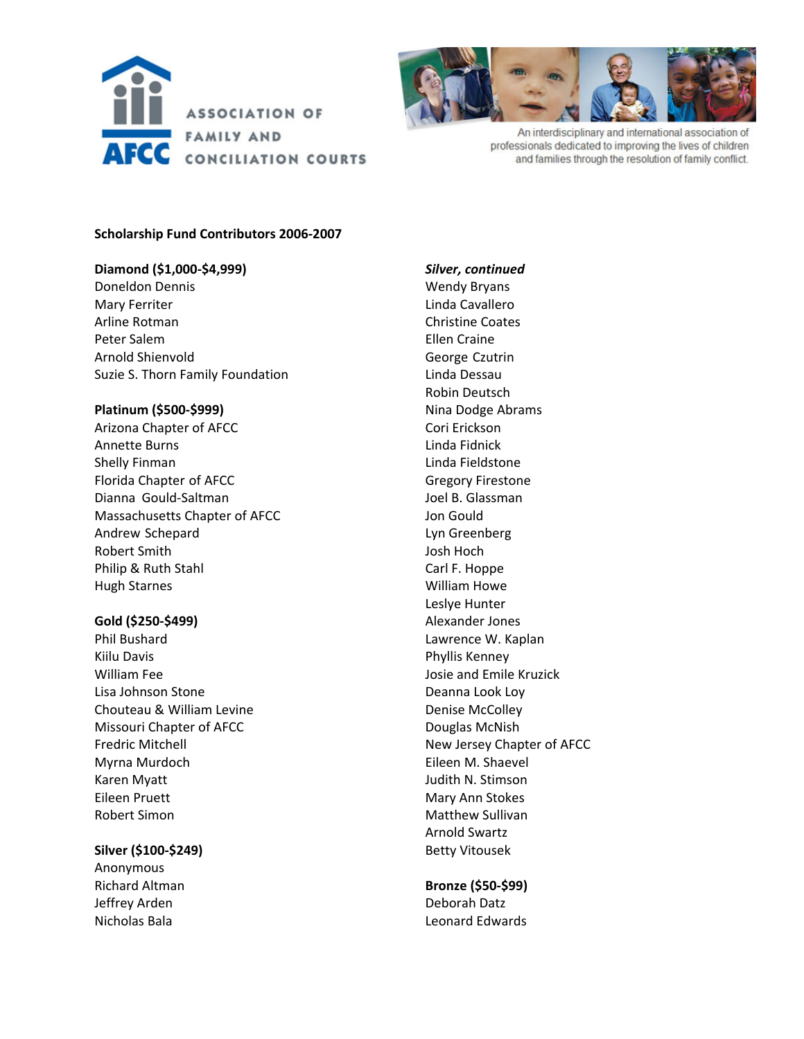



An interdisciplinary and international association of professionals dedicated to improving the lives of children and families through the resolution of family conflict.

#### **Scholarship Fund Contributors 2006‐2007**

# **Diamond (\$1,000‐\$4,999)**

Doneldon Dennis Mary Ferriter Arline Rotman Peter Salem Arnold Shienvold Suzie S. Thorn Family Foundation

#### **Platinum (\$500‐\$999)**

Arizona Chapter of AFCC Annette Burns Shelly Finman Florida Chapter of AFCC Dianna Gould‐Saltman Massachusetts Chapter of AFCC Andrew Schepard Robert Smith Philip & Ruth Stahl Hugh Starnes

### **Gold (\$250‐\$499)**

Phil Bushard Kiilu Davis William Fee Lisa Johnson Stone Chouteau & William Levine Missouri Chapter of AFCC Fredric Mitchell Myrna Murdoch Karen Myatt Eileen Pruett Robert Simon

#### **Silver (\$100‐\$249)**

Anonymous Richard Altman Jeffrey Arden Nicholas Bala

# *Silver, continued* Wendy Bryans Linda Cavallero Christine Coates Ellen Craine George Czutrin Linda Dessau Robin Deutsch Nina Dodge Abrams Cori Erickson Linda Fidnick Linda Fieldstone Gregory Firestone Joel B. Glassman Jon Gould Lyn Greenberg Josh Hoch Carl F. Hoppe William Howe Leslye Hunter Alexander Jones Lawrence W. Kaplan Phyllis Kenney Josie and Emile Kruzick Deanna Look Loy Denise McColley Douglas McNish New Jersey Chapter of AFCC Eileen M. Shaevel Judith N. Stimson Mary Ann Stokes Matthew Sullivan Arnold Swartz Betty Vitousek

## **Bronze (\$50‐\$99)** Deborah Datz Leonard Edwards